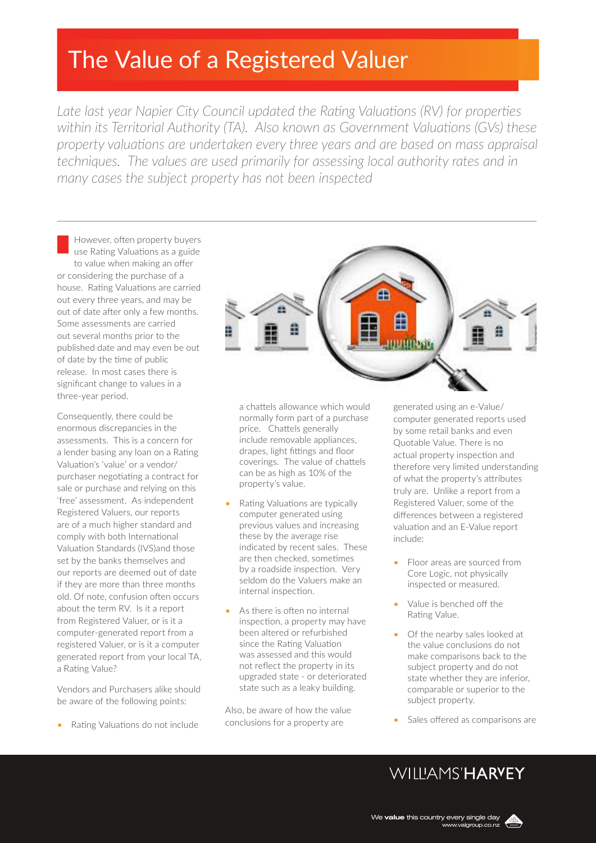# The Value of a Registered Valuer

*Late last year Napier City Council updated the Rating Valuations (RV) for properties within its Territorial Authority (TA). Also known as Government Valuations (GVs) these property valuations are undertaken every three years and are based on mass appraisal techniques. The values are used primarily for assessing local authority rates and in many cases the subject property has not been inspected*

However, often property buyers use Rating Valuations as a guide to value when making an offer or considering the purchase of a house. Rating Valuations are carried out every three years, and may be out of date after only a few months. Some assessments are carried out several months prior to the published date and may even be out of date by the time of public release. In most cases there is significant change to values in a three-year period.

Consequently, there could be enormous discrepancies in the assessments. This is a concern for a lender basing any loan on a Rating Valuation's 'value' or a vendor/ purchaser negotiating a contract for sale or purchase and relying on this 'free' assessment. As independent Registered Valuers, our reports are of a much higher standard and comply with both International Valuation Standards (IVS)and those set by the banks themselves and our reports are deemed out of date if they are more than three months old. Of note, confusion often occurs about the term RV. Is it a report from Registered Valuer, or is it a computer-generated report from a registered Valuer, or is it a computer generated report from your local TA, a Rating Value?

Vendors and Purchasers alike should be aware of the following points:

• Rating Valuations do not include



- Rating Valuations are typically computer generated using previous values and increasing these by the average rise indicated by recent sales. These are then checked, sometimes by a roadside inspection. Very seldom do the Valuers make an internal inspection.
- As there is often no internal inspection, a property may have been altered or refurbished since the Rating Valuation was assessed and this would not reflect the property in its upgraded state - or deteriorated state such as a leaky building.

Also, be aware of how the value conclusions for a property are

generated using an e-Value/ computer generated reports used by some retail banks and even Quotable Value. There is no actual property inspection and therefore very limited understanding of what the property's attributes truly are. Unlike a report from a Registered Valuer, some of the differences between a registered valuation and an E-Value report include:

- Floor areas are sourced from Core Logic, not physically inspected or measured.
- Value is benched off the Rating Value.
- Of the nearby sales looked at the value conclusions do not make comparisons back to the subject property and do not state whether they are inferior, comparable or superior to the subject property.
- Sales offered as comparisons are

## WIIIIAMS'HARVEY